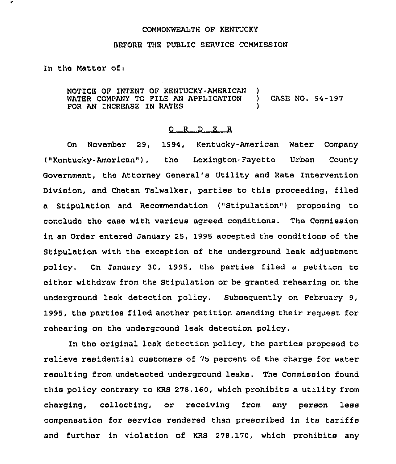#### COMMONWEALTH OF KENTUCKY

## BEFORE THE PUBLIC SERVICE COMMISSION

In the Matter ofi

NOTICE OF INTENT OF KENTUCKY-AMERICAN )<br>WATER COMPANY TO FILE AN APPLICATION ) WATER COMPANY TO FILE AN APPLICATION ) CASE NO. 94-197 FOR AN INCREASE IN RATES

## 0 <sup>R</sup> <sup>D</sup> E R

On November 29, 1994, Kentucky-American Water Company ("Kentucky-American"), the Lexington-Fayette Urban County Government, the Attorney General's Utility and Rate Intervention Division, and Chetan Talwalker, parties to this proceeding, filed a Stipulation and Recommendation ("Stipulation" ) proposing to conclude the case with various agreed conditions. The Commission in an Order entered January 25, 1995 accepted the conditions of the Stipulation with the exception of the underground leak adjustment policy. On January 30, 1995, the parties filed a petition to either withdraw from the Stipulation or be granted rehearing on the underground leak detection policy. Subsequently on February 9, 1995, the parties filed another petition amending their request for rehearing on the underground leak detection policy.

In the original leak detection policy, the parties proposed to relieve residential customers of 75 percent of the charge for water resulting from undetected underground leaks. The Commission found this policy contrary to KRS 278.160, which prohibits a utility from charging, collecting, or receiving from any person less compensation for service rendered than prescribed in its tariffs and further in violation of KRS 278.170, which prohibits any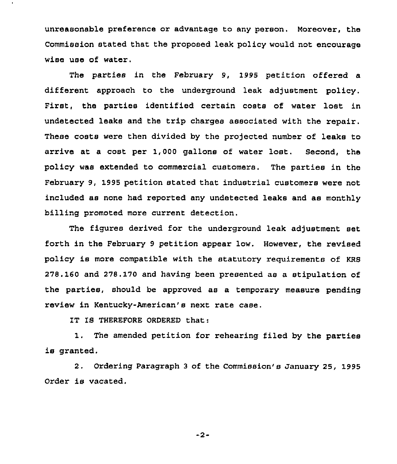unreasonable preference or advantage to any person, Moreover, the Commission stated that the proposed leak policy would not encourage wise use of water.

The parties in the February 9, 1995 petition offered a different approach to the underground leak adjustment policy. First, the parties identified certain costs of water lost in undetected leaks and the trip charges associated with the repair. These costs were then divided by the projected number of leaks to arrive at a cost per 1,000 gallons of water lost, Second, the policy was extended to commercial customers. The parties in the February 9, 1995 petition stated that industrial customers were not included as none had reported any undetected leaks and as monthly billing promoted more current detection.

The figures derived for the underground leak adjustment set forth in the Pebruary <sup>9</sup> petition appear low. However, the revised policy is more compatible with the statutory requirements of KRS 278.160 and 278. 170 and having been presented as a stipulation of the parties, should be approved as a temporary measure pending review in Kentucky-American's next rate case.

IT IS THEREFORE ORDERED that:

1. The amended petition for rehearing filed by the parties is granted.

2. Ordering Paragraph 3 of the Commission's January 25, 1995 Order is vacated.

-2-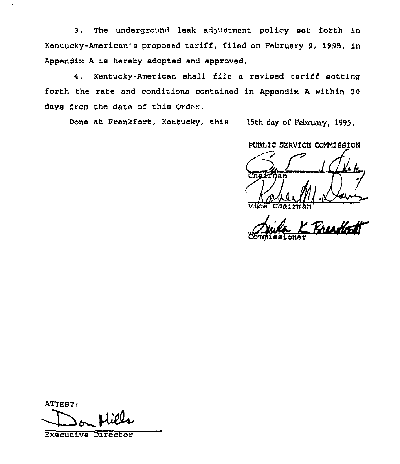3. The undezground leak adjustment policy set forth in Kentucky-American's proposed tariff, filed on February 9, 1995, in Appendix <sup>A</sup> is hereby adopted and approved.

4. Kentucky-American shall file a revised tariff setting forth the rate and conditions contained in Appendix <sup>A</sup> within 30 days from the date of this Order.

Done at Frankfort, Kentucky, this 15th day of February, 1995.

PUBLIC SERVICE COMMISSION Chattien 1 du

chairman'omglliss loner

ATTEST:

Executive Director